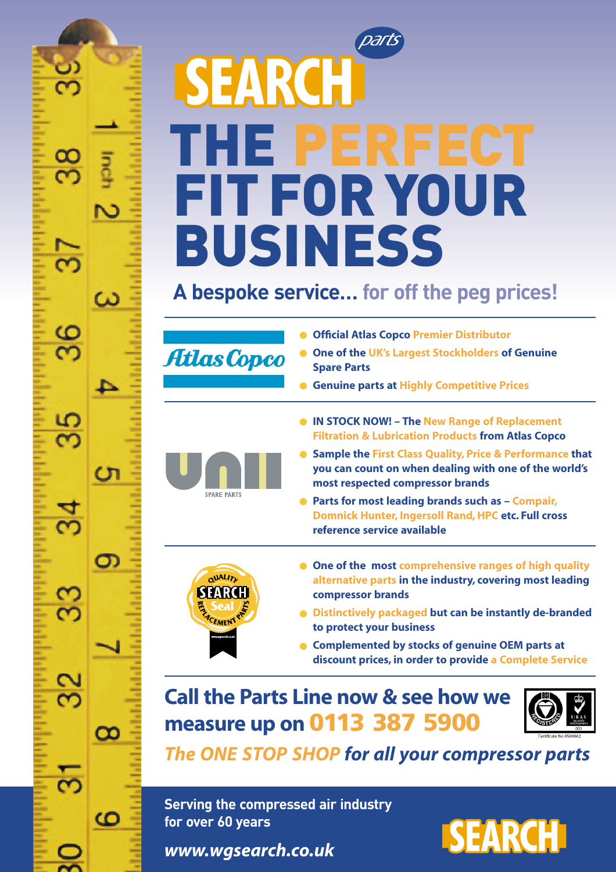# Darts SEARCH THE PERFECT FIT FOR YOUR BUSINESS

#### **A bespoke service… for off the peg prices!**



ω

 $\sigma$ 

 $\mathbf \Omega$ 

ထ

 $\Omega$ 

36

5  $\overline{\mathbf{C}}$ 

 $\overline{34}$ 

ဌ

 $32$ 

స్

۳

- **Official Atlas Copco Premier Distributor**
- **One of the UK's Largest Stockholders of Genuine Spare Parts**
- **Genuine parts at Highly Competitive Prices**
- **IN STOCK NOW! The New Range of Replacement Filtration & Lubrication Products from Atlas Copco**
- **Sample the First Class Quality, Price & Performance that you can count on when dealing with one of the world's most respected compressor brands**
- **Parts for most leading brands such as Compair, Domnick Hunter, Ingersoll Rand, HPC etc. Full cross reference service available**



**SPARE PARTS** 

- **One of the most comprehensive ranges of high quality alternative parts in the industry, covering most leading compressor brands**
- **Distinctively packaged but can be instantly de-branded to protect your business**
- **Complemented by stocks of genuine OEM parts at discount prices, in order to provide a Complete Service**

#### **Call the Parts Line now & see how we measure up on 0113 387 5900**



*The ONE STOP SHOP for all your compressor parts*

**Serving the compressed air industry for over 60 years**

*www.wgsearch.co.uk*